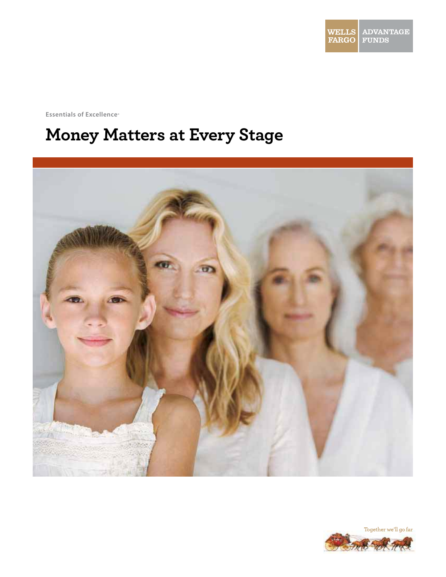

**Essentials of Excellence<sup>®</sup>** 

# **Money Matters at Every Stage**



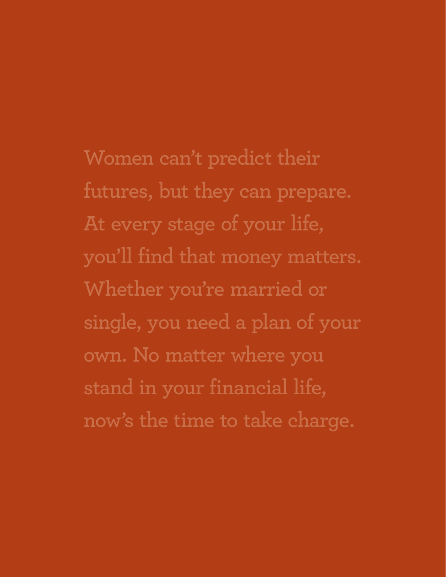**Women can't predict their futures, but they can prepare. At every stage of your life, you'll find that money matters. Whether you're married or single, you need a plan of your own. No matter where you stand in your financial life, now's the time to take charge.**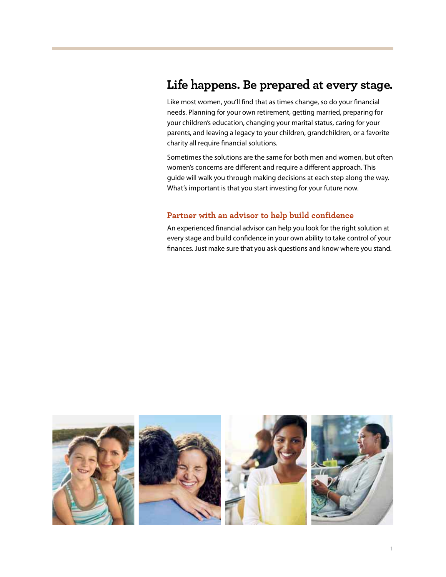### **Life happens. Be prepared at every stage.**

Like most women, you'll find that as times change, so do your financial needs. Planning for your own retirement, getting married, preparing for your children's education, changing your marital status, caring for your parents, and leaving a legacy to your children, grandchildren, or a favorite charity all require financial solutions.

Sometimes the solutions are the same for both men and women, but often women's concerns are different and require a different approach. This guide will walk you through making decisions at each step along the way. What's important is that you start investing for your future now.

#### **Partner with an advisor to help build confidence**

An experienced financial advisor can help you look for the right solution at every stage and build confidence in your own ability to take control of your finances. Just make sure that you ask questions and know where you stand.

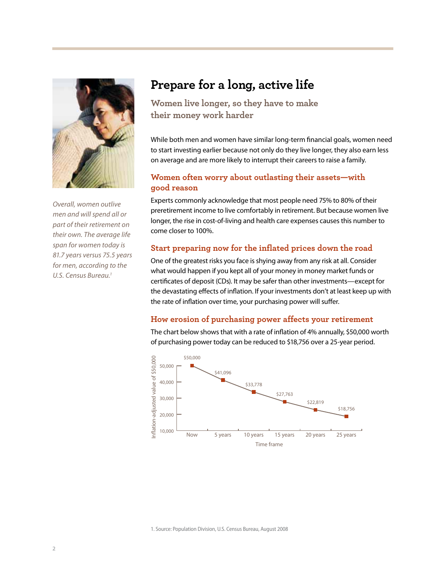

Overall, women outlive men and will spend all or part of their retirement on their own. The average life span for women today is 81.7 years versus 75.5 years for men, according to the U.S. Census Bureau.<sup>1</sup>

# **Prepare for a long, active life**

**Women live longer, so they have to make their money work harder**

While both men and women have similar long-term financial goals, women need to start investing earlier because not only do they live longer, they also earn less on average and are more likely to interrupt their careers to raise a family.

#### **Women often worry about outlasting their assets—with good reason**

Experts commonly acknowledge that most people need 75% to 80% of their preretirement income to live comfortably in retirement. But because women live longer, the rise in cost-of-living and health care expenses causes this number to come closer to 100%.

#### **Start preparing now for the inflated prices down the road**

One of the greatest risks you face is shying away from any risk at all. Consider what would happen if you kept all of your money in money market funds or certificates of deposit (CDs). It may be safer than other investments—except for the devastating effects of inflation. If your investments don't at least keep up with the rate of inflation over time, your purchasing power will suffer.

#### **How erosion of purchasing power affects your retirement**

The chart below shows that with a rate of inflation of 4% annually, \$50,000 worth of purchasing power today can be reduced to \$18,756 over a 25-year period.



1. Source: Population Division, U.S. Census Bureau, August 2008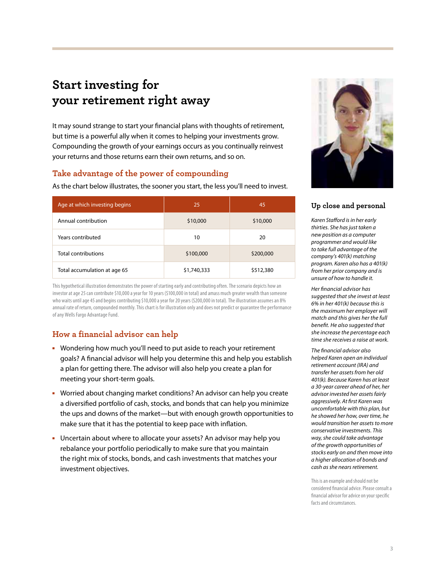# **Start investing for your retirement right away**

It may sound strange to start your financial plans with thoughts of retirement, but time is a powerful ally when it comes to helping your investments grow. Compounding the growth of your earnings occurs as you continually reinvest your returns and those returns earn their own returns, and so on.

#### **Take advantage of the power of compounding**

As the chart below illustrates, the sooner you start, the less you'll need to invest.

| Age at which investing begins | 25          | 45        |
|-------------------------------|-------------|-----------|
| Annual contribution           | \$10,000    | \$10,000  |
| Years contributed             | 10          | 20        |
| <b>Total contributions</b>    | \$100,000   | \$200,000 |
| Total accumulation at age 65  | \$1,740,333 | \$512,380 |

This hypothetical illustration demonstrates the power of starting early and contributing often. The scenario depicts how an investor at age 25 can contribute \$10,000 a year for 10 years (\$100,000 in total) and amass much greater wealth than someone who waits until age 45 and begins contributing \$10,000 a year for 20 years (\$200,000 in total). The illustration assumes an 8% annual rate of return, compounded monthly. This chart is for illustration only and does not predict or guarantee the performance of any Wells Fargo Advantage Fund.

### **How a financial advisor can help**

- Wondering how much you'll need to put aside to reach your retirement goals? A financial advisor will help you determine this and help you establish a plan for getting there. The advisor will also help you create a plan for meeting your short-term goals.
- **Worried about changing market conditions? An advisor can help you create** a diversified portfolio of cash, stocks, and bonds that can help you minimize the ups and downs of the market—but with enough growth opportunities to make sure that it has the potential to keep pace with inflation.
- Uncertain about where to allocate your assets? An advisor may help you rebalance your portfolio periodically to make sure that you maintain the right mix of stocks, bonds, and cash investments that matches your investment objectives.



#### **Up close and personal**

Karen Stafford is in her early thirties. She has just taken a new position as a computer programmer and would like to take full advantage of the company's 401(k) matching program. Karen also has a 401(k) from her prior company and is unsure of how to handle it.

Her financial advisor has suggested that she invest at least 6% in her 401(k) because this is the maximum her employer will match and this gives her the full benefit. He also suggested that she increase the percentage each time she receives a raise at work.

The financial advisor also helped Karen open an individual retirement account (IRA) and transfer her assets from her old 401(k). Because Karen has at least a 30-year career ahead of her, her advisor invested her assets fairly aggressively. At first Karen was uncomfortable with this plan, but he showed her how, over time, he would transition her assets to more conservative investments. This way, she could take advantage of the growth opportunities of stocks early on and then move into a higher allocation of bonds and cash as she nears retirement.

This is an example and should not be considered financial advice. Please consult a financial advisor for advice on your specific facts and circumstances.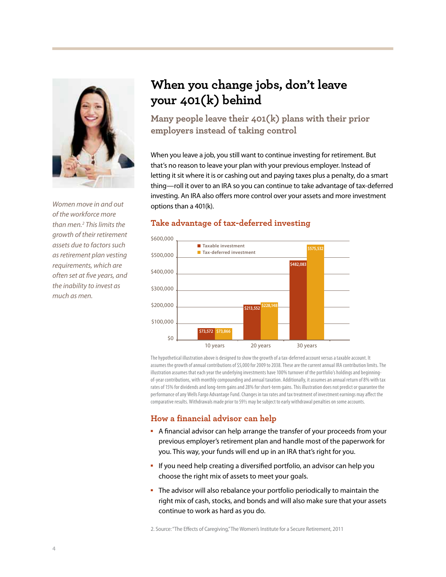

Women move in and out of the workforce more than men.2 This limits the growth of their retirement assets due to factors such as retirement plan vesting requirements, which are often set at five years, and the inability to invest as much as men.

# **When you change jobs, don't leave your 401(k) behind**

**Many people leave their 401(k) plans with their prior employers instead of taking control**

When you leave a job, you still want to continue investing for retirement. But that's no reason to leave your plan with your previous employer. Instead of letting it sit where it is or cashing out and paying taxes plus a penalty, do a smart thing—roll it over to an IRA so you can continue to take advantage of tax-deferred investing. An IRA also offers more control over your assets and more investment options than a 401(k).



#### **Take advantage of tax-deferred investing**

The hypothetical illustration above is designed to show the growth of a tax-deferred account versus a taxable account. It assumes the growth of annual contributions of \$5,000 for 2009 to 2038. These are the current annual IRA contribution limits. The illustration assumes that each year the underlying investments have 100% turnover of the portfolio's holdings and beginningof-year contributions, with monthly compounding and annual taxation. Additionally, it assumes an annual return of 8% with tax rates of 15% for dividends and long-term gains and 28% for short-term gains. This illustration does not predict or guarantee the performance of any Wells Fargo Advantage Fund. Changes in tax rates and tax treatment of investment earnings may affect the comparative results. Withdrawals made prior to 59½ may be subject to early withdrawal penalties on some accounts.

### **How a financial advisor can help**

- A financial advisor can help arrange the transfer of your proceeds from your previous employer's retirement plan and handle most of the paperwork for you. This way, your funds will end up in an IRA that's right for you.
- If you need help creating a diversified portfolio, an advisor can help you choose the right mix of assets to meet your goals.
- The advisor will also rebalance your portfolio periodically to maintain the right mix of cash, stocks, and bonds and will also make sure that your assets continue to work as hard as you do.

2. Source: "The Effects of Caregiving," The Women's Institute for a Secure Retirement, 2011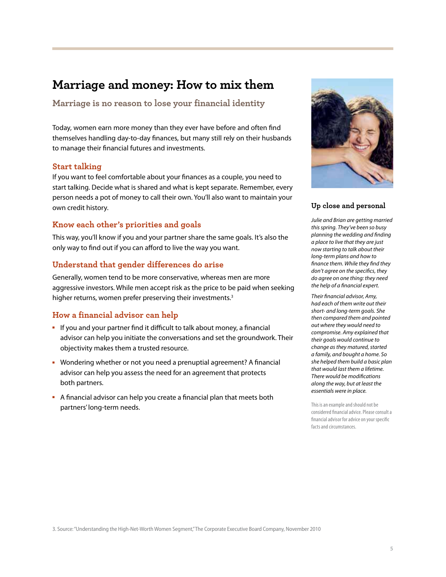## **Marriage and money: How to mix them**

**Marriage is no reason to lose your financial identity**

Today, women earn more money than they ever have before and often find themselves handling day-to-day finances, but many still rely on their husbands to manage their financial futures and investments.

#### **Start talking**

If you want to feel comfortable about your finances as a couple, you need to start talking. Decide what is shared and what is kept separate. Remember, every person needs a pot of money to call their own. You'll also want to maintain your own credit history.

#### **Know each other's priorities and goals**

This way, you'll know if you and your partner share the same goals. It's also the only way to find out if you can afford to live the way you want.

#### **Understand that gender differences do arise**

Generally, women tend to be more conservative, whereas men are more aggressive investors. While men accept risk as the price to be paid when seeking higher returns, women prefer preserving their investments.<sup>3</sup>

#### **How a financial advisor can help**

- If you and your partner find it difficult to talk about money, a financial advisor can help you initiate the conversations and set the groundwork. Their objectivity makes them a trusted resource.
- Wondering whether or not you need a prenuptial agreement? A financial advisor can help you assess the need for an agreement that protects both partners.
- A financial advisor can help you create a financial plan that meets both partners' long-term needs.



#### **Up close and personal**

Julie and Brian are getting married this spring. They've been so busy planning the wedding and finding a place to live that they are just now starting to talk about their long-term plans and how to finance them. While they find they don't agree on the specifics, they do agree on one thing: they need the help of a financial expert.

Their financial advisor, Amy, had each of them write out their short- and long-term goals. She then compared them and pointed out where they would need to compromise. Amy explained that their goals would continue to change as they matured, started a family, and bought a home. So she helped them build a basic plan that would last them a lifetime. There would be modifications along the way, but at least the essentials were in place.

This is an example and should not be considered financial advice. Please consult a financial advisor for advice on your specific facts and circumstances.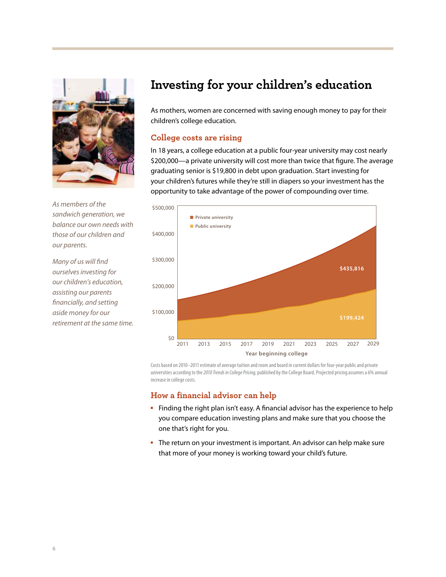

As members of the sandwich generation, we balance our own needs with those of our children and our parents.

Many of us will find ourselves investing for our children's education, assisting our parents financially, and setting aside money for our retirement at the same time.

# **Investing for your children's education**

As mothers, women are concerned with saving enough money to pay for their children's college education.

#### **College costs are rising**

In 18 years, a college education at a public four-year university may cost nearly \$200,000—a private university will cost more than twice that figure. The average graduating senior is \$19,800 in debt upon graduation. Start investing for your children's futures while they're still in diapers so your investment has the opportunity to take advantage of the power of compounding over time.



Costs based on 2010–2011 estimate of average tuition and room and board in current dollars for four-year public and private universities according to the 2010 Trends in College Pricing, published by the College Board. Projected pricing assumes a 6% annual increase in college costs.

- Finding the right plan isn't easy. A financial advisor has the experience to help you compare education investing plans and make sure that you choose the one that's right for you.
- The return on your investment is important. An advisor can help make sure that more of your money is working toward your child's future.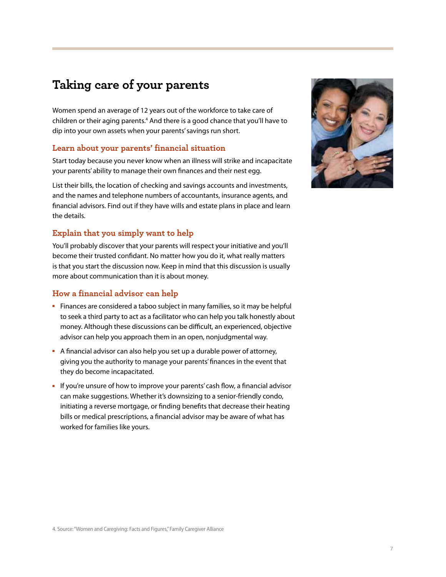## **Taking care of your parents**

Women spend an average of 12 years out of the workforce to take care of children or their aging parents.<sup>4</sup> And there is a good chance that you'll have to dip into your own assets when your parents' savings run short.

#### **Learn about your parents' financial situation**

Start today because you never know when an illness will strike and incapacitate your parents' ability to manage their own finances and their nest egg.

List their bills, the location of checking and savings accounts and investments, and the names and telephone numbers of accountants, insurance agents, and financial advisors. Find out if they have wills and estate plans in place and learn the details.

#### **Explain that you simply want to help**

You'll probably discover that your parents will respect your initiative and you'll become their trusted confidant. No matter how you do it, what really matters is that you start the discussion now. Keep in mind that this discussion is usually more about communication than it is about money.

- Finances are considered a taboo subject in many families, so it may be helpful to seek a third party to act as a facilitator who can help you talk honestly about money. Although these discussions can be difficult, an experienced, objective advisor can help you approach them in an open, nonjudgmental way.
- A financial advisor can also help you set up a durable power of attorney, giving you the authority to manage your parents' finances in the event that they do become incapacitated.
- If you're unsure of how to improve your parents' cash flow, a financial advisor can make suggestions. Whether it's downsizing to a senior-friendly condo, initiating a reverse mortgage, or finding benefits that decrease their heating bills or medical prescriptions, a financial advisor may be aware of what has worked for families like yours.

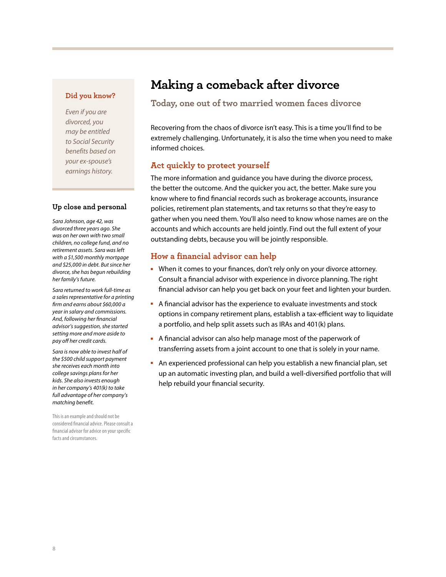#### **Did you know?**

Even if you are divorced, you may be entitled to Social Security benefits based on your ex-spouse's earnings history.

#### **Up close and personal**

Sara Johnson, age 42, was divorced three years ago. She was on her own with two small children, no college fund, and no retirement assets. Sara was left with a \$1,500 monthly mortgage and \$25,000 in debt. But since her divorce, she has begun rebuilding her family's future.

Sara returned to work full-time as a sales representative for a printing firm and earns about \$60,000 a year in salary and commissions. And, following her financial advisor's suggestion, she started setting more and more aside to pay off her credit cards.

Sara is now able to invest half of the \$500 child support payment she receives each month into college savings plans for her kids. She also invests enough in her company's 401(k) to take full advantage of her company's matching benefit.

This is an example and should not be considered financial advice. Please consult a financial advisor for advice on your specific facts and circumstances.

# **Making a comeback after divorce**

#### **Today, one out of two married women faces divorce**

Recovering from the chaos of divorce isn't easy. This is a time you'll find to be extremely challenging. Unfortunately, it is also the time when you need to make informed choices.

#### **Act quickly to protect yourself**

The more information and guidance you have during the divorce process, the better the outcome. And the quicker you act, the better. Make sure you know where to find financial records such as brokerage accounts, insurance policies, retirement plan statements, and tax returns so that they're easy to gather when you need them. You'll also need to know whose names are on the accounts and which accounts are held jointly. Find out the full extent of your outstanding debts, because you will be jointly responsible.

- When it comes to your finances, don't rely only on your divorce attorney. Consult a financial advisor with experience in divorce planning. The right financial advisor can help you get back on your feet and lighten your burden.
- A financial advisor has the experience to evaluate investments and stock options in company retirement plans, establish a tax-efficient way to liquidate a portfolio, and help split assets such as IRAs and 401(k) plans.
- A financial advisor can also help manage most of the paperwork of transferring assets from a joint account to one that is solely in your name.
- An experienced professional can help you establish a new financial plan, set up an automatic investing plan, and build a well-diversified portfolio that will help rebuild your financial security.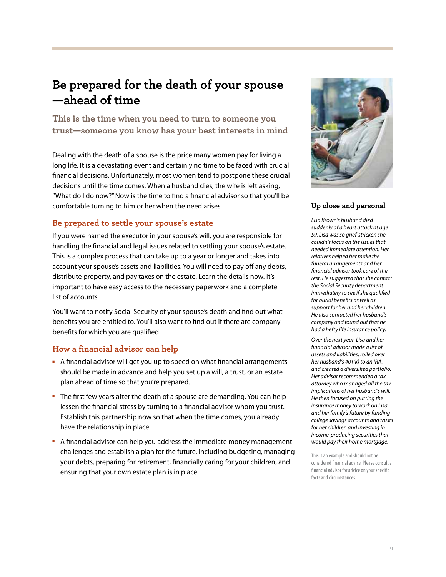## **Be prepared for the death of your spouse —ahead of time**

**This is the time when you need to turn to someone you trust—someone you know has your best interests in mind**

Dealing with the death of a spouse is the price many women pay for living a long life. It is a devastating event and certainly no time to be faced with crucial financial decisions. Unfortunately, most women tend to postpone these crucial decisions until the time comes. When a husband dies, the wife is left asking, "What do I do now?" Now is the time to find a financial advisor so that you'll be comfortable turning to him or her when the need arises.

#### **Be prepared to settle your spouse's estate**

If you were named the executor in your spouse's will, you are responsible for handling the financial and legal issues related to settling your spouse's estate. This is a complex process that can take up to a year or longer and takes into account your spouse's assets and liabilities. You will need to pay off any debts, distribute property, and pay taxes on the estate. Learn the details now. It's important to have easy access to the necessary paperwork and a complete list of accounts.

You'll want to notify Social Security of your spouse's death and find out what benefits you are entitled to. You'll also want to find out if there are company benefits for which you are qualified.

### **How a financial advisor can help**

- A financial advisor will get you up to speed on what financial arrangements should be made in advance and help you set up a will, a trust, or an estate plan ahead of time so that you're prepared.
- The first few years after the death of a spouse are demanding. You can help lessen the financial stress by turning to a financial advisor whom you trust. Establish this partnership now so that when the time comes, you already have the relationship in place.
- A financial advisor can help you address the immediate money management challenges and establish a plan for the future, including budgeting, managing your debts, preparing for retirement, financially caring for your children, and ensuring that your own estate plan is in place.



#### **Up close and personal**

Lisa Brown's husband died suddenly of a heart attack at age 59. Lisa was so grief-stricken she couldn't focus on the issues that needed immediate attention. Her relatives helped her make the funeral arrangements and her financial advisor took care of the rest. He suggested that she contact the Social Security department immediately to see if she qualified for burial benefits as well as support for her and her children. He also contacted her husband's company and found out that he had a hefty life insurance policy.

Over the next year, Lisa and her financial advisor made a list of assets and liabilities, rolled over her husband's 401(k) to an IRA, and created a diversified portfolio. Her advisor recommended a tax attorney who managed all the tax implications of her husband's will. He then focused on putting the insurance money to work on Lisa and her family's future by funding college savings accounts and trusts for her children and investing in income-producing securities that would pay their home mortgage.

This is an example and should not be considered financial advice. Please consult a financial advisor for advice on your specific facts and circumstances.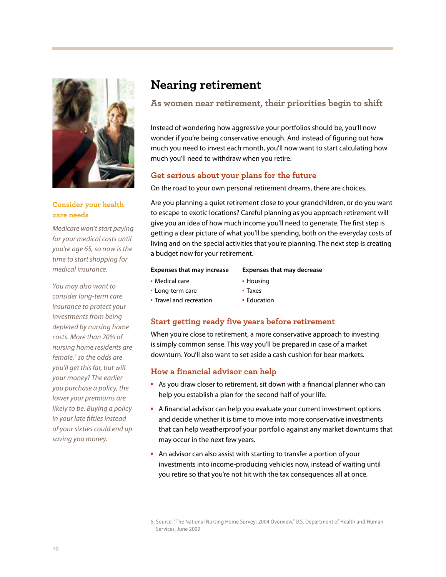

**Consider your health care needs**

Medicare won't start paying for your medical costs until you're age 65, so now is the time to start shopping for medical insurance.

You may also want to consider long-term care insurance to protect your investments from being depleted by nursing home costs. More than 70% of nursing home residents are female, $<sup>5</sup>$  so the odds are</sup> you'll get this far, but will your money? The earlier you purchase a policy, the lower your premiums are likely to be. Buying a policy in your late fifties instead of your sixties could end up saving you money.

### **Nearing retirement**

### **As women near retirement, their priorities begin to shift**

Instead of wondering how aggressive your portfolios should be, you'll now wonder if you're being conservative enough. And instead of figuring out how much you need to invest each month, you'll now want to start calculating how much you'll need to withdraw when you retire.

### **Get serious about your plans for the future**

On the road to your own personal retirement dreams, there are choices.

Are you planning a quiet retirement close to your grandchildren, or do you want to escape to exotic locations? Careful planning as you approach retirement will give you an idea of how much income you'll need to generate. The first step is getting a clear picture of what you'll be spending, both on the everyday costs of living and on the special activities that you're planning. The next step is creating a budget now for your retirement.

#### **Expenses that may increase**

- Travel and recreation

**Expenses that may decrease**

- Medical care
- Housing - Taxes
- Long-term care
- Education

### **Start getting ready five years before retirement**

When you're close to retirement, a more conservative approach to investing is simply common sense. This way you'll be prepared in case of a market downturn. You'll also want to set aside a cash cushion for bear markets.

- As you draw closer to retirement, sit down with a financial planner who can help you establish a plan for the second half of your life.
- A financial advisor can help you evaluate your current investment options and decide whether it is time to move into more conservative investments that can help weatherproof your portfolio against any market downturns that may occur in the next few years.
- An advisor can also assist with starting to transfer a portion of your investments into income-producing vehicles now, instead of waiting until you retire so that you're not hit with the tax consequences all at once.

<sup>5.</sup> Source: "The National Nursing Home Survey: 2004 Overview," U.S. Department of Health and Human Services, June 2009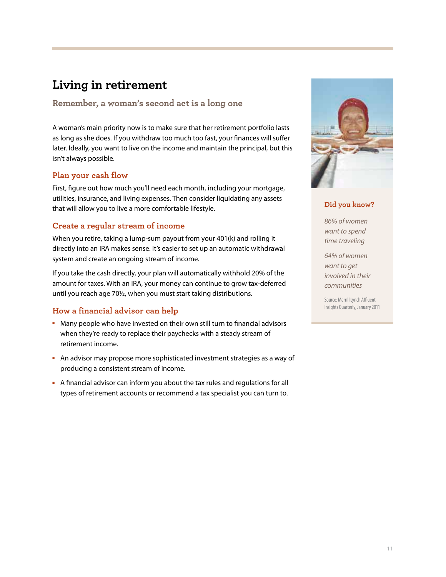# **Living in retirement**

### **Remember, a woman's second act is a long one**

A woman's main priority now is to make sure that her retirement portfolio lasts as long as she does. If you withdraw too much too fast, your finances will suffer later. Ideally, you want to live on the income and maintain the principal, but this isn't always possible.

### **Plan your cash flow**

First, figure out how much you'll need each month, including your mortgage, utilities, insurance, and living expenses. Then consider liquidating any assets that will allow you to live a more comfortable lifestyle.

### **Create a regular stream of income**

When you retire, taking a lump-sum payout from your 401(k) and rolling it directly into an IRA makes sense. It's easier to set up an automatic withdrawal system and create an ongoing stream of income.

If you take the cash directly, your plan will automatically withhold 20% of the amount for taxes. With an IRA, your money can continue to grow tax-deferred until you reach age 70½, when you must start taking distributions.

### **How a financial advisor can help**

- Many people who have invested on their own still turn to financial advisors when they're ready to replace their paychecks with a steady stream of retirement income.
- **-** An advisor may propose more sophisticated investment strategies as a way of producing a consistent stream of income.
- A financial advisor can inform you about the tax rules and regulations for all types of retirement accounts or recommend a tax specialist you can turn to.



#### **Did you know?**

86% of women want to spend time traveling

64% of women want to get involved in their communities

Source: Merrill Lynch Affluent Insights Quarterly, January 2011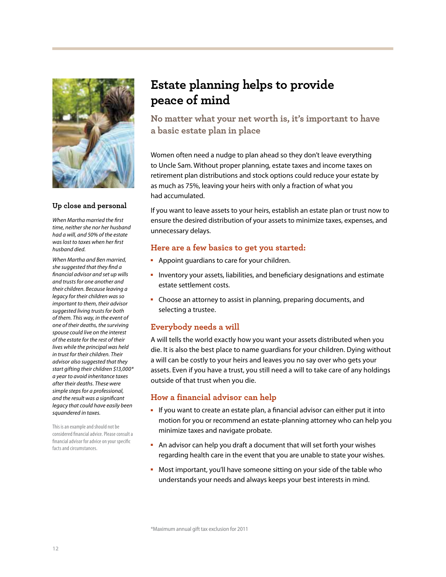

#### **Up close and personal**

When Martha married the first time, neither she nor her husband had a will, and 50% of the estate was lost to taxes when her first husband died.

When Martha and Ben married, she suggested that they find a financial advisor and set up wills and trusts for one another and their children. Because leaving a legacy for their children was so important to them, their advisor suggested living trusts for both of them. This way, in the event of one of their deaths, the surviving spouse could live on the interest of the estate for the rest of their lives while the principal was held in trust for their children. Their advisor also suggested that they start gifting their children \$13,000\* a year to avoid inheritance taxes after their deaths. These were simple steps for a professional, and the result was a significant legacy that could have easily been squandered in taxes.

This is an example and should not be considered financial advice. Please consult a financial advisor for advice on your specific facts and circumstances.

# **Estate planning helps to provide peace of mind**

**No matter what your net worth is, it's important to have a basic estate plan in place**

Women often need a nudge to plan ahead so they don't leave everything to Uncle Sam. Without proper planning, estate taxes and income taxes on retirement plan distributions and stock options could reduce your estate by as much as 75%, leaving your heirs with only a fraction of what you had accumulated.

If you want to leave assets to your heirs, establish an estate plan or trust now to ensure the desired distribution of your assets to minimize taxes, expenses, and unnecessary delays.

#### **Here are a few basics to get you started:**

- -Appoint guardians to care for your children.
- - Inventory your assets, liabilities, and beneficiary designations and estimate estate settlement costs.
- Choose an attorney to assist in planning, preparing documents, and selecting a trustee.

### **Everybody needs a will**

A will tells the world exactly how you want your assets distributed when you die. It is also the best place to name guardians for your children. Dying without a will can be costly to your heirs and leaves you no say over who gets your assets. Even if you have a trust, you still need a will to take care of any holdings outside of that trust when you die.

- If you want to create an estate plan, a financial advisor can either put it into motion for you or recommend an estate-planning attorney who can help you minimize taxes and navigate probate.
- An advisor can help you draft a document that will set forth your wishes regarding health care in the event that you are unable to state your wishes.
- Most important, you'll have someone sitting on your side of the table who understands your needs and always keeps your best interests in mind.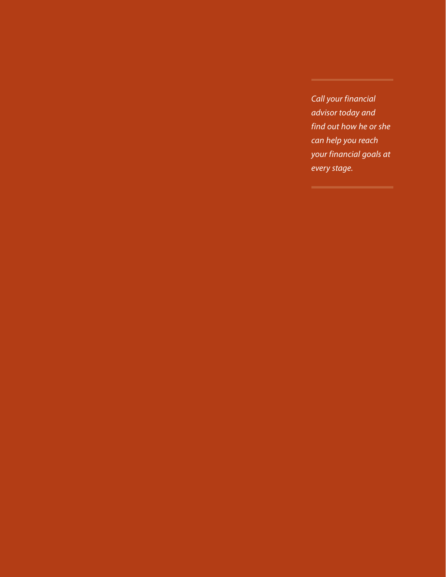Call your financial advisor today and find out how he or she can help you reach your financial goals at every stage.